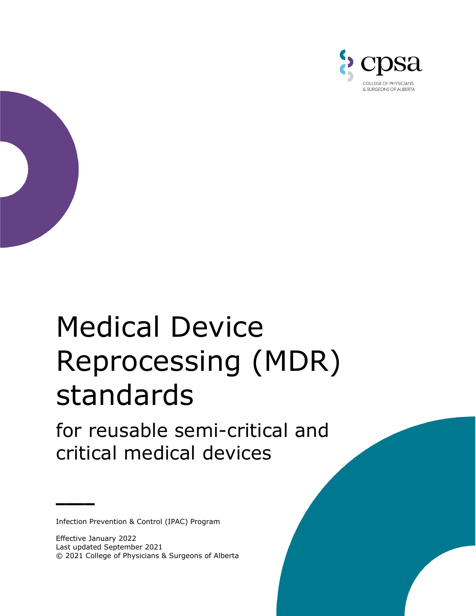



# Medical Device Reprocessing (MDR) standards

for reusable semi-critical and critical medical devices

Infection Prevention & Control (IPAC) Program

**\_\_\_\_**

Effective January 2022 Last updated September 2021 © 2021 College of Physicians & Surgeons of Alberta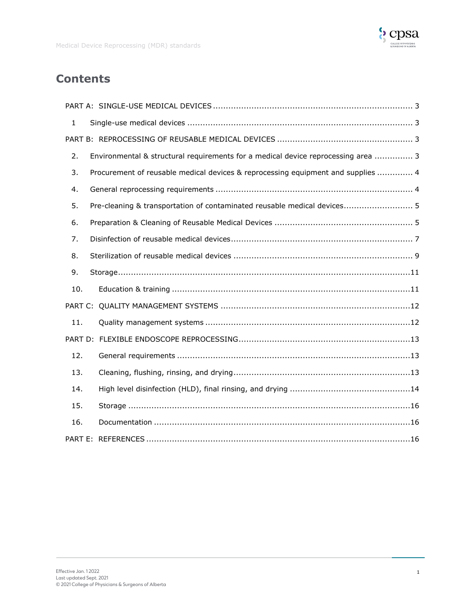

# **Contents**

| $\mathbf{1}$ |                                                                                   |
|--------------|-----------------------------------------------------------------------------------|
|              |                                                                                   |
| 2.           | Environmental & structural requirements for a medical device reprocessing area  3 |
| 3.           | Procurement of reusable medical devices & reprocessing equipment and supplies  4  |
| 4.           |                                                                                   |
| 5.           | Pre-cleaning & transportation of contaminated reusable medical devices 5          |
| 6.           |                                                                                   |
| 7.           |                                                                                   |
| 8.           |                                                                                   |
| 9.           |                                                                                   |
| 10.          |                                                                                   |
|              |                                                                                   |
| 11.          |                                                                                   |
|              |                                                                                   |
| 12.          |                                                                                   |
| 13.          |                                                                                   |
| 14.          |                                                                                   |
| 15.          |                                                                                   |
| 16.          |                                                                                   |
|              |                                                                                   |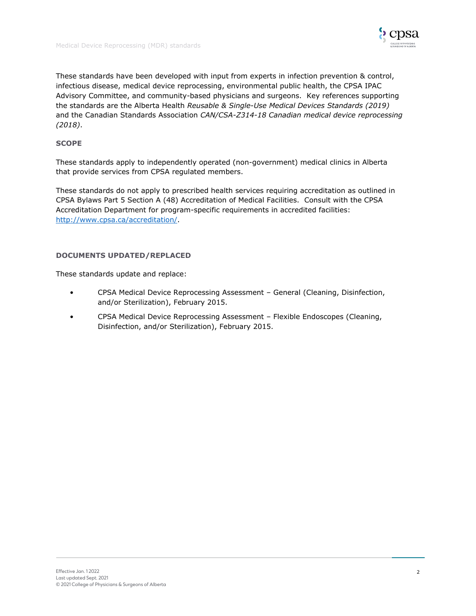![](_page_2_Picture_1.jpeg)

These standards have been developed with input from experts in infection prevention & control, infectious disease, medical device reprocessing, environmental public health, the CPSA IPAC Advisory Committee, and community-based physicians and surgeons. Key references supporting the standards are the Alberta Health *Reusable & Single-Use Medical Devices Standards (2019)*  and the Canadian Standards Association *CAN/CSA-Z314-18 Canadian medical device reprocessing (2018)*.

# **SCOPE**

These standards apply to independently operated (non-government) medical clinics in Alberta that provide services from CPSA regulated members.

These standards do not apply to prescribed health services requiring accreditation as outlined in CPSA Bylaws Part 5 Section A (48) Accreditation of Medical Facilities. Consult with the CPSA Accreditation Department for program-specific requirements in accredited facilities: [http://www.cpsa.ca/accreditation/.](http://www.cpsa.ca/accreditation/)

# **DOCUMENTS UPDATED/REPLACED**

These standards update and replace:

- CPSA Medical Device Reprocessing Assessment General (Cleaning, Disinfection, and/or Sterilization), February 2015.
- CPSA Medical Device Reprocessing Assessment Flexible Endoscopes (Cleaning, Disinfection, and/or Sterilization), February 2015.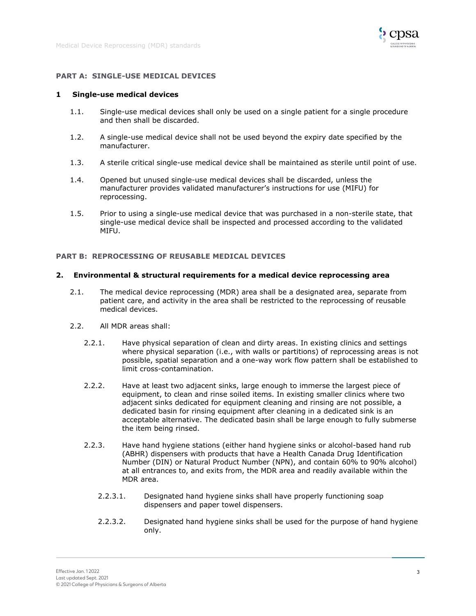![](_page_3_Picture_1.jpeg)

#### <span id="page-3-0"></span>**PART A: SINGLE-USE MEDICAL DEVICES**

#### <span id="page-3-1"></span>**1 Single-use medical devices**

- 1.1. Single-use medical devices shall only be used on a single patient for a single procedure and then shall be discarded.
- 1.2. A single-use medical device shall not be used beyond the expiry date specified by the manufacturer.
- 1.3. A sterile critical single-use medical device shall be maintained as sterile until point of use.
- 1.4. Opened but unused single-use medical devices shall be discarded, unless the manufacturer provides validated manufacturer's instructions for use (MIFU) for reprocessing.
- 1.5. Prior to using a single-use medical device that was purchased in a non-sterile state, that single-use medical device shall be inspected and processed according to the validated MIFU.

# <span id="page-3-2"></span>**PART B: REPROCESSING OF REUSABLE MEDICAL DEVICES**

#### <span id="page-3-3"></span>**2. Environmental & structural requirements for a medical device reprocessing area**

- 2.1. The medical device reprocessing (MDR) area shall be a designated area, separate from patient care, and activity in the area shall be restricted to the reprocessing of reusable medical devices.
- 2.2. All MDR areas shall:
	- 2.2.1. Have physical separation of clean and dirty areas. In existing clinics and settings where physical separation (i.e., with walls or partitions) of reprocessing areas is not possible, spatial separation and a one-way work flow pattern shall be established to limit cross-contamination.
	- 2.2.2. Have at least two adjacent sinks, large enough to immerse the largest piece of equipment, to clean and rinse soiled items. In existing smaller clinics where two adjacent sinks dedicated for equipment cleaning and rinsing are not possible, a dedicated basin for rinsing equipment after cleaning in a dedicated sink is an acceptable alternative. The dedicated basin shall be large enough to fully submerse the item being rinsed.
	- 2.2.3. Have hand hygiene stations (either hand hygiene sinks or alcohol-based hand rub (ABHR) dispensers with products that have a Health Canada Drug Identification Number (DIN) or Natural Product Number (NPN), and contain 60% to 90% alcohol) at all entrances to, and exits from, the MDR area and readily available within the MDR area.
		- 2.2.3.1. Designated hand hygiene sinks shall have properly functioning soap dispensers and paper towel dispensers.
		- 2.2.3.2. Designated hand hygiene sinks shall be used for the purpose of hand hygiene only.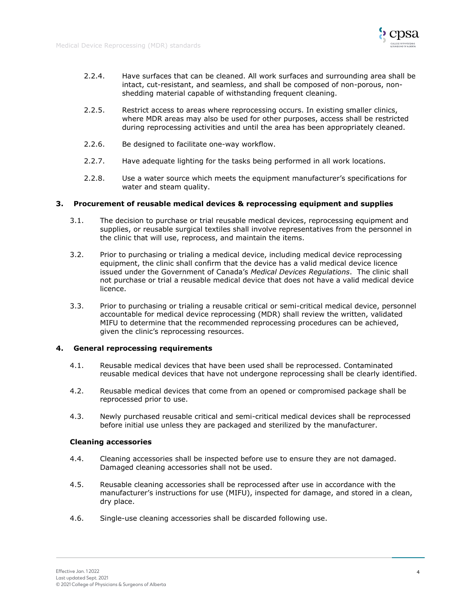![](_page_4_Picture_1.jpeg)

- 2.2.4. Have surfaces that can be cleaned. All work surfaces and surrounding area shall be intact, cut-resistant, and seamless, and shall be composed of non-porous, nonshedding material capable of withstanding frequent cleaning.
- 2.2.5. Restrict access to areas where reprocessing occurs. In existing smaller clinics, where MDR areas may also be used for other purposes, access shall be restricted during reprocessing activities and until the area has been appropriately cleaned.
- 2.2.6. Be designed to facilitate one-way workflow.
- 2.2.7. Have adequate lighting for the tasks being performed in all work locations.
- 2.2.8. Use a water source which meets the equipment manufacturer's specifications for water and steam quality.

## <span id="page-4-0"></span>**3. Procurement of reusable medical devices & reprocessing equipment and supplies**

- 3.1. The decision to purchase or trial reusable medical devices, reprocessing equipment and supplies, or reusable surgical textiles shall involve representatives from the personnel in the clinic that will use, reprocess, and maintain the items.
- 3.2. Prior to purchasing or trialing a medical device, including medical device reprocessing equipment, the clinic shall confirm that the device has a valid medical device licence issued under the Government of Canada's *Medical Devices Regulations*. The clinic shall not purchase or trial a reusable medical device that does not have a valid medical device licence.
- 3.3. Prior to purchasing or trialing a reusable critical or semi-critical medical device, personnel accountable for medical device reprocessing (MDR) shall review the written, validated MIFU to determine that the recommended reprocessing procedures can be achieved, given the clinic's reprocessing resources.

# <span id="page-4-1"></span>**4. General reprocessing requirements**

- 4.1. Reusable medical devices that have been used shall be reprocessed. Contaminated reusable medical devices that have not undergone reprocessing shall be clearly identified.
- 4.2. Reusable medical devices that come from an opened or compromised package shall be reprocessed prior to use.
- 4.3. Newly purchased reusable critical and semi-critical medical devices shall be reprocessed before initial use unless they are packaged and sterilized by the manufacturer.

#### **Cleaning accessories**

- 4.4. Cleaning accessories shall be inspected before use to ensure they are not damaged. Damaged cleaning accessories shall not be used.
- 4.5. Reusable cleaning accessories shall be reprocessed after use in accordance with the manufacturer's instructions for use (MIFU), inspected for damage, and stored in a clean, dry place.
- 4.6. Single-use cleaning accessories shall be discarded following use.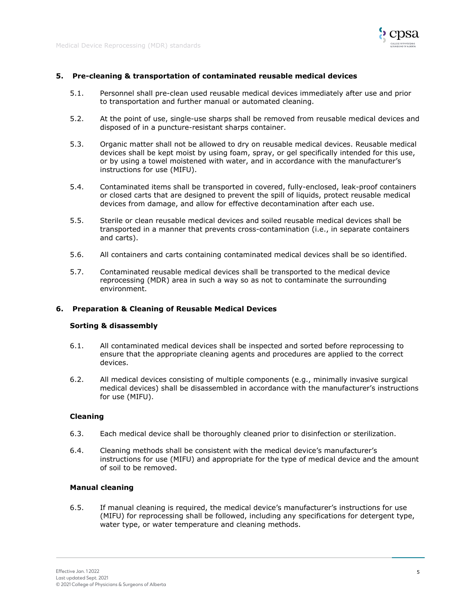![](_page_5_Picture_1.jpeg)

# <span id="page-5-0"></span>**5. Pre-cleaning & transportation of contaminated reusable medical devices**

- 5.1. Personnel shall pre-clean used reusable medical devices immediately after use and prior to transportation and further manual or automated cleaning.
- 5.2. At the point of use, single-use sharps shall be removed from reusable medical devices and disposed of in a puncture-resistant sharps container.
- 5.3. Organic matter shall not be allowed to dry on reusable medical devices. Reusable medical devices shall be kept moist by using foam, spray, or gel specifically intended for this use, or by using a towel moistened with water, and in accordance with the manufacturer's instructions for use (MIFU).
- 5.4. Contaminated items shall be transported in covered, fully-enclosed, leak-proof containers or closed carts that are designed to prevent the spill of liquids, protect reusable medical devices from damage, and allow for effective decontamination after each use.
- 5.5. Sterile or clean reusable medical devices and soiled reusable medical devices shall be transported in a manner that prevents cross-contamination (i.e., in separate containers and carts).
- 5.6. All containers and carts containing contaminated medical devices shall be so identified.
- 5.7. Contaminated reusable medical devices shall be transported to the medical device reprocessing (MDR) area in such a way so as not to contaminate the surrounding environment.

#### <span id="page-5-1"></span>**6. Preparation & Cleaning of Reusable Medical Devices**

#### **Sorting & disassembly**

- 6.1. All contaminated medical devices shall be inspected and sorted before reprocessing to ensure that the appropriate cleaning agents and procedures are applied to the correct devices.
- 6.2. All medical devices consisting of multiple components (e.g., minimally invasive surgical medical devices) shall be disassembled in accordance with the manufacturer's instructions for use (MIFU).

#### **Cleaning**

- 6.3. Each medical device shall be thoroughly cleaned prior to disinfection or sterilization.
- 6.4. Cleaning methods shall be consistent with the medical device's manufacturer's instructions for use (MIFU) and appropriate for the type of medical device and the amount of soil to be removed.

# **Manual cleaning**

6.5. If manual cleaning is required, the medical device's manufacturer's instructions for use (MIFU) for reprocessing shall be followed, including any specifications for detergent type, water type, or water temperature and cleaning methods.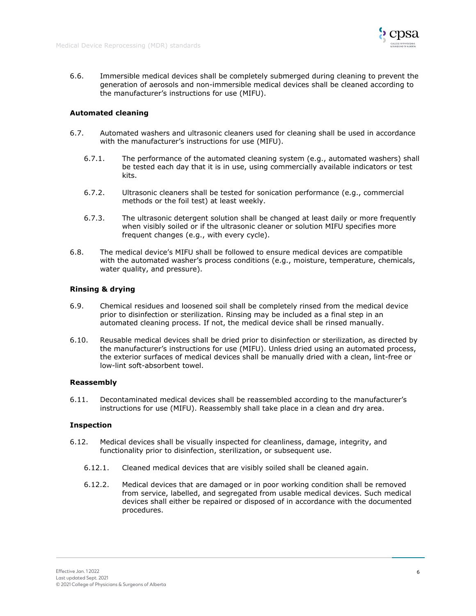![](_page_6_Picture_1.jpeg)

6.6. Immersible medical devices shall be completely submerged during cleaning to prevent the generation of aerosols and non-immersible medical devices shall be cleaned according to the manufacturer's instructions for use (MIFU).

# **Automated cleaning**

- 6.7. Automated washers and ultrasonic cleaners used for cleaning shall be used in accordance with the manufacturer's instructions for use (MIFU).
	- 6.7.1. The performance of the automated cleaning system (e.g., automated washers) shall be tested each day that it is in use, using commercially available indicators or test kits.
	- 6.7.2. Ultrasonic cleaners shall be tested for sonication performance (e.g., commercial methods or the foil test) at least weekly.
	- 6.7.3. The ultrasonic detergent solution shall be changed at least daily or more frequently when visibly soiled or if the ultrasonic cleaner or solution MIFU specifies more frequent changes (e.g., with every cycle).
- 6.8. The medical device's MIFU shall be followed to ensure medical devices are compatible with the automated washer's process conditions (e.g., moisture, temperature, chemicals, water quality, and pressure).

# **Rinsing & drying**

- 6.9. Chemical residues and loosened soil shall be completely rinsed from the medical device prior to disinfection or sterilization. Rinsing may be included as a final step in an automated cleaning process. If not, the medical device shall be rinsed manually.
- 6.10. Reusable medical devices shall be dried prior to disinfection or sterilization, as directed by the manufacturer's instructions for use (MIFU). Unless dried using an automated process, the exterior surfaces of medical devices shall be manually dried with a clean, lint-free or low-lint soft-absorbent towel.

# **Reassembly**

6.11. Decontaminated medical devices shall be reassembled according to the manufacturer's instructions for use (MIFU). Reassembly shall take place in a clean and dry area.

# **Inspection**

- 6.12. Medical devices shall be visually inspected for cleanliness, damage, integrity, and functionality prior to disinfection, sterilization, or subsequent use.
	- 6.12.1. Cleaned medical devices that are visibly soiled shall be cleaned again.
	- 6.12.2. Medical devices that are damaged or in poor working condition shall be removed from service, labelled, and segregated from usable medical devices. Such medical devices shall either be repaired or disposed of in accordance with the documented procedures.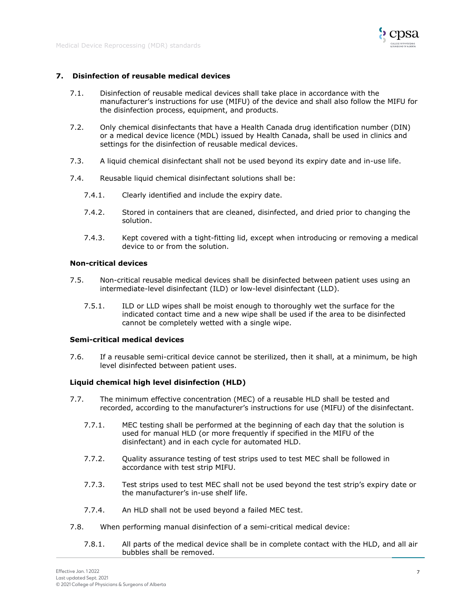![](_page_7_Picture_0.jpeg)

# <span id="page-7-0"></span>**7. Disinfection of reusable medical devices**

- 7.1. Disinfection of reusable medical devices shall take place in accordance with the manufacturer's instructions for use (MIFU) of the device and shall also follow the MIFU for the disinfection process, equipment, and products.
- 7.2. Only chemical disinfectants that have a Health Canada drug identification number (DIN) or a medical device licence (MDL) issued by Health Canada, shall be used in clinics and settings for the disinfection of reusable medical devices.
- 7.3. A liquid chemical disinfectant shall not be used beyond its expiry date and in-use life.
- 7.4. Reusable liquid chemical disinfectant solutions shall be:
	- 7.4.1. Clearly identified and include the expiry date.
	- 7.4.2. Stored in containers that are cleaned, disinfected, and dried prior to changing the solution.
	- 7.4.3. Kept covered with a tight-fitting lid, except when introducing or removing a medical device to or from the solution.

#### **Non-critical devices**

- 7.5. Non-critical reusable medical devices shall be disinfected between patient uses using an intermediate-level disinfectant (ILD) or low-level disinfectant (LLD).
	- 7.5.1. ILD or LLD wipes shall be moist enough to thoroughly wet the surface for the indicated contact time and a new wipe shall be used if the area to be disinfected cannot be completely wetted with a single wipe.

#### **Semi-critical medical devices**

7.6. If a reusable semi-critical device cannot be sterilized, then it shall, at a minimum, be high level disinfected between patient uses.

# **Liquid chemical high level disinfection (HLD)**

- 7.7. The minimum effective concentration (MEC) of a reusable HLD shall be tested and recorded, according to the manufacturer's instructions for use (MIFU) of the disinfectant.
	- 7.7.1. MEC testing shall be performed at the beginning of each day that the solution is used for manual HLD (or more frequently if specified in the MIFU of the disinfectant) and in each cycle for automated HLD.
	- 7.7.2. Quality assurance testing of test strips used to test MEC shall be followed in accordance with test strip MIFU.
	- 7.7.3. Test strips used to test MEC shall not be used beyond the test strip's expiry date or the manufacturer's in-use shelf life.
	- 7.7.4. An HLD shall not be used beyond a failed MEC test.
- 7.8. When performing manual disinfection of a semi-critical medical device:
	- 7.8.1. All parts of the medical device shall be in complete contact with the HLD, and all air bubbles shall be removed.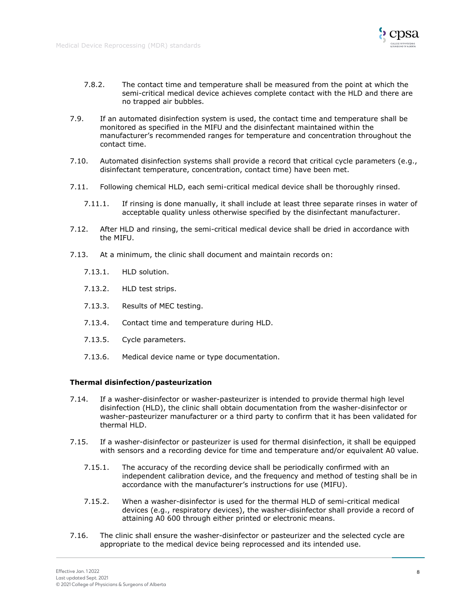![](_page_8_Picture_1.jpeg)

- 7.8.2. The contact time and temperature shall be measured from the point at which the semi-critical medical device achieves complete contact with the HLD and there are no trapped air bubbles.
- 7.9. If an automated disinfection system is used, the contact time and temperature shall be monitored as specified in the MIFU and the disinfectant maintained within the manufacturer's recommended ranges for temperature and concentration throughout the contact time.
- 7.10. Automated disinfection systems shall provide a record that critical cycle parameters (e.g., disinfectant temperature, concentration, contact time) have been met.
- 7.11. Following chemical HLD, each semi-critical medical device shall be thoroughly rinsed.
	- 7.11.1. If rinsing is done manually, it shall include at least three separate rinses in water of acceptable quality unless otherwise specified by the disinfectant manufacturer.
- 7.12. After HLD and rinsing, the semi-critical medical device shall be dried in accordance with the MIFU.
- 7.13. At a minimum, the clinic shall document and maintain records on:
	- 7.13.1. HLD solution.
	- 7.13.2. HLD test strips.
	- 7.13.3. Results of MEC testing.
	- 7.13.4. Contact time and temperature during HLD.
	- 7.13.5. Cycle parameters.
	- 7.13.6. Medical device name or type documentation.

#### **Thermal disinfection/pasteurization**

- 7.14. If a washer-disinfector or washer-pasteurizer is intended to provide thermal high level disinfection (HLD), the clinic shall obtain documentation from the washer-disinfector or washer-pasteurizer manufacturer or a third party to confirm that it has been validated for thermal HLD.
- 7.15. If a washer-disinfector or pasteurizer is used for thermal disinfection, it shall be equipped with sensors and a recording device for time and temperature and/or equivalent A0 value.
	- 7.15.1. The accuracy of the recording device shall be periodically confirmed with an independent calibration device, and the frequency and method of testing shall be in accordance with the manufacturer's instructions for use (MIFU).
	- 7.15.2. When a washer-disinfector is used for the thermal HLD of semi-critical medical devices (e.g., respiratory devices), the washer-disinfector shall provide a record of attaining A0 600 through either printed or electronic means.
- 7.16. The clinic shall ensure the washer-disinfector or pasteurizer and the selected cycle are appropriate to the medical device being reprocessed and its intended use.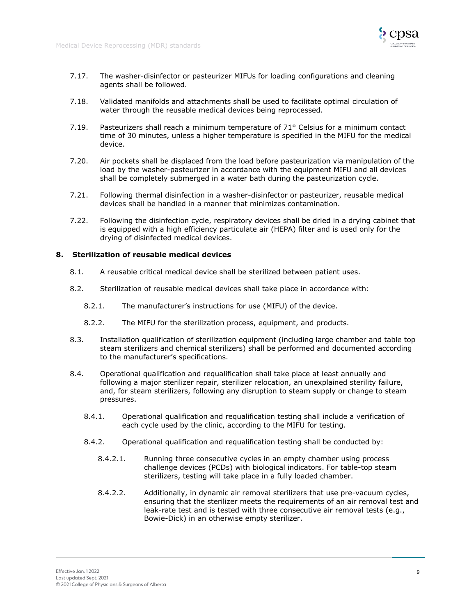![](_page_9_Picture_1.jpeg)

- 7.17. The washer-disinfector or pasteurizer MIFUs for loading configurations and cleaning agents shall be followed.
- 7.18. Validated manifolds and attachments shall be used to facilitate optimal circulation of water through the reusable medical devices being reprocessed.
- 7.19. Pasteurizers shall reach a minimum temperature of 71° Celsius for a minimum contact time of 30 minutes, unless a higher temperature is specified in the MIFU for the medical device.
- 7.20. Air pockets shall be displaced from the load before pasteurization via manipulation of the load by the washer-pasteurizer in accordance with the equipment MIFU and all devices shall be completely submerged in a water bath during the pasteurization cycle.
- 7.21. Following thermal disinfection in a washer-disinfector or pasteurizer, reusable medical devices shall be handled in a manner that minimizes contamination.
- 7.22. Following the disinfection cycle, respiratory devices shall be dried in a drying cabinet that is equipped with a high efficiency particulate air (HEPA) filter and is used only for the drying of disinfected medical devices.

# <span id="page-9-0"></span>**8. Sterilization of reusable medical devices**

- 8.1. A reusable critical medical device shall be sterilized between patient uses.
- 8.2. Sterilization of reusable medical devices shall take place in accordance with:
	- 8.2.1. The manufacturer's instructions for use (MIFU) of the device.
	- 8.2.2. The MIFU for the sterilization process, equipment, and products.
- 8.3. Installation qualification of sterilization equipment (including large chamber and table top steam sterilizers and chemical sterilizers) shall be performed and documented according to the manufacturer's specifications.
- 8.4. Operational qualification and requalification shall take place at least annually and following a major sterilizer repair, sterilizer relocation, an unexplained sterility failure, and, for steam sterilizers, following any disruption to steam supply or change to steam pressures.
	- 8.4.1. Operational qualification and requalification testing shall include a verification of each cycle used by the clinic, according to the MIFU for testing.
	- 8.4.2. Operational qualification and requalification testing shall be conducted by:
		- 8.4.2.1. Running three consecutive cycles in an empty chamber using process challenge devices (PCDs) with biological indicators. For table-top steam sterilizers, testing will take place in a fully loaded chamber.
		- 8.4.2.2. Additionally, in dynamic air removal sterilizers that use pre-vacuum cycles, ensuring that the sterilizer meets the requirements of an air removal test and leak-rate test and is tested with three consecutive air removal tests (e.g., Bowie-Dick) in an otherwise empty sterilizer.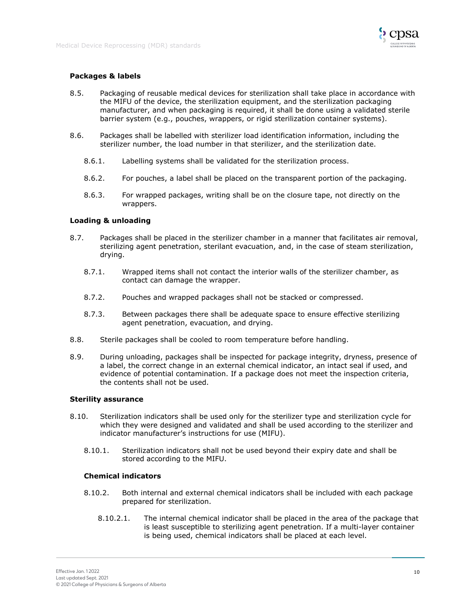![](_page_10_Picture_1.jpeg)

# **Packages & labels**

- 8.5. Packaging of reusable medical devices for sterilization shall take place in accordance with the MIFU of the device, the sterilization equipment, and the sterilization packaging manufacturer, and when packaging is required, it shall be done using a validated sterile barrier system (e.g., pouches, wrappers, or rigid sterilization container systems).
- 8.6. Packages shall be labelled with sterilizer load identification information, including the sterilizer number, the load number in that sterilizer, and the sterilization date.
	- 8.6.1. Labelling systems shall be validated for the sterilization process.
	- 8.6.2. For pouches, a label shall be placed on the transparent portion of the packaging.
	- 8.6.3. For wrapped packages, writing shall be on the closure tape, not directly on the wrappers.

# **Loading & unloading**

- 8.7. Packages shall be placed in the sterilizer chamber in a manner that facilitates air removal, sterilizing agent penetration, sterilant evacuation, and, in the case of steam sterilization, drying.
	- 8.7.1. Wrapped items shall not contact the interior walls of the sterilizer chamber, as contact can damage the wrapper.
	- 8.7.2. Pouches and wrapped packages shall not be stacked or compressed.
	- 8.7.3. Between packages there shall be adequate space to ensure effective sterilizing agent penetration, evacuation, and drying.
- 8.8. Sterile packages shall be cooled to room temperature before handling.
- 8.9. During unloading, packages shall be inspected for package integrity, dryness, presence of a label, the correct change in an external chemical indicator, an intact seal if used, and evidence of potential contamination. If a package does not meet the inspection criteria, the contents shall not be used.

#### **Sterility assurance**

- 8.10. Sterilization indicators shall be used only for the sterilizer type and sterilization cycle for which they were designed and validated and shall be used according to the sterilizer and indicator manufacturer's instructions for use (MIFU).
	- 8.10.1. Sterilization indicators shall not be used beyond their expiry date and shall be stored according to the MIFU.

#### **Chemical indicators**

- 8.10.2. Both internal and external chemical indicators shall be included with each package prepared for sterilization.
	- 8.10.2.1. The internal chemical indicator shall be placed in the area of the package that is least susceptible to sterilizing agent penetration. If a multi-layer container is being used, chemical indicators shall be placed at each level.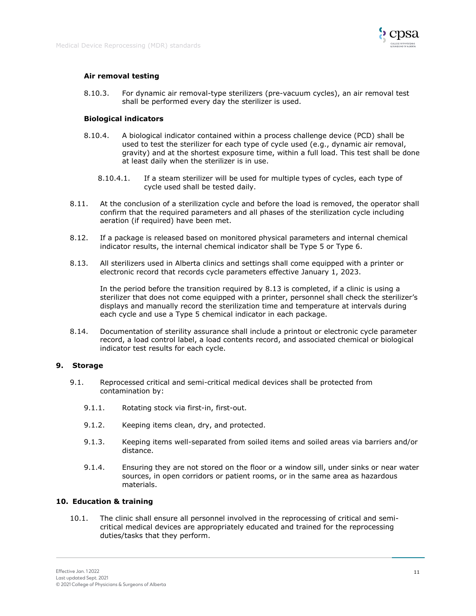![](_page_11_Picture_1.jpeg)

# **Air removal testing**

8.10.3. For dynamic air removal-type sterilizers (pre-vacuum cycles), an air removal test shall be performed every day the sterilizer is used.

# **Biological indicators**

- 8.10.4. A biological indicator contained within a process challenge device (PCD) shall be used to test the sterilizer for each type of cycle used (e.g., dynamic air removal, gravity) and at the shortest exposure time, within a full load. This test shall be done at least daily when the sterilizer is in use.
	- 8.10.4.1. If a steam sterilizer will be used for multiple types of cycles, each type of cycle used shall be tested daily.
- 8.11. At the conclusion of a sterilization cycle and before the load is removed, the operator shall confirm that the required parameters and all phases of the sterilization cycle including aeration (if required) have been met.
- 8.12. If a package is released based on monitored physical parameters and internal chemical indicator results, the internal chemical indicator shall be Type 5 or Type 6.
- 8.13. All sterilizers used in Alberta clinics and settings shall come equipped with a printer or electronic record that records cycle parameters effective January 1, 2023.

In the period before the transition required by 8.13 is completed, if a clinic is using a sterilizer that does not come equipped with a printer, personnel shall check the sterilizer's displays and manually record the sterilization time and temperature at intervals during each cycle and use a Type 5 chemical indicator in each package.

8.14. Documentation of sterility assurance shall include a printout or electronic cycle parameter record, a load control label, a load contents record, and associated chemical or biological indicator test results for each cycle.

#### <span id="page-11-0"></span>**9. Storage**

- 9.1. Reprocessed critical and semi-critical medical devices shall be protected from contamination by:
	- 9.1.1. Rotating stock via first-in, first-out.
	- 9.1.2. Keeping items clean, dry, and protected.
	- 9.1.3. Keeping items well-separated from soiled items and soiled areas via barriers and/or distance.
	- 9.1.4. Ensuring they are not stored on the floor or a window sill, under sinks or near water sources, in open corridors or patient rooms, or in the same area as hazardous materials.

# <span id="page-11-1"></span>**10. Education & training**

10.1. The clinic shall ensure all personnel involved in the reprocessing of critical and semicritical medical devices are appropriately educated and trained for the reprocessing duties/tasks that they perform.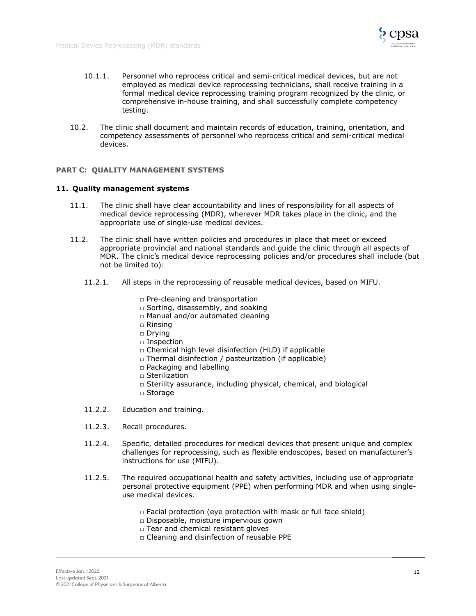![](_page_12_Picture_1.jpeg)

- 10.1.1. Personnel who reprocess critical and semi-critical medical devices, but are not employed as medical device reprocessing technicians, shall receive training in a formal medical device reprocessing training program recognized by the clinic, or comprehensive in-house training, and shall successfully complete competency testing.
- 10.2. The clinic shall document and maintain records of education, training, orientation, and competency assessments of personnel who reprocess critical and semi-critical medical devices.

## <span id="page-12-0"></span>**PART C: QUALITY MANAGEMENT SYSTEMS**

## <span id="page-12-1"></span>**11. Quality management systems**

- 11.1. The clinic shall have clear accountability and lines of responsibility for all aspects of medical device reprocessing (MDR), wherever MDR takes place in the clinic, and the appropriate use of single-use medical devices.
- 11.2. The clinic shall have written policies and procedures in place that meet or exceed appropriate provincial and national standards and guide the clinic through all aspects of MDR. The clinic's medical device reprocessing policies and/or procedures shall include (but not be limited to):
	- 11.2.1. All steps in the reprocessing of reusable medical devices, based on MIFU.
		- □ Pre-cleaning and transportation
		- □ Sorting, disassembly, and soaking
		- □ Manual and/or automated cleaning
		- □ Rinsing
		- □ Drying
		- □ Inspection
		- □ Chemical high level disinfection (HLD) if applicable
		- □ Thermal disinfection / pasteurization (if applicable)
		- □ Packaging and labelling
		- $\Box$  Sterilization
		- □ Sterility assurance, including physical, chemical, and biological
		- □ Storage
	- 11.2.2. Education and training.
	- 11.2.3. Recall procedures.
	- 11.2.4. Specific, detailed procedures for medical devices that present unique and complex challenges for reprocessing, such as flexible endoscopes, based on manufacturer's instructions for use (MIFU).
	- 11.2.5. The required occupational health and safety activities, including use of appropriate personal protective equipment (PPE) when performing MDR and when using singleuse medical devices.
		- $\Box$  Facial protection (eye protection with mask or full face shield)
		- □ Disposable, moisture impervious gown
		- □ Tear and chemical resistant gloves
		- □ Cleaning and disinfection of reusable PPE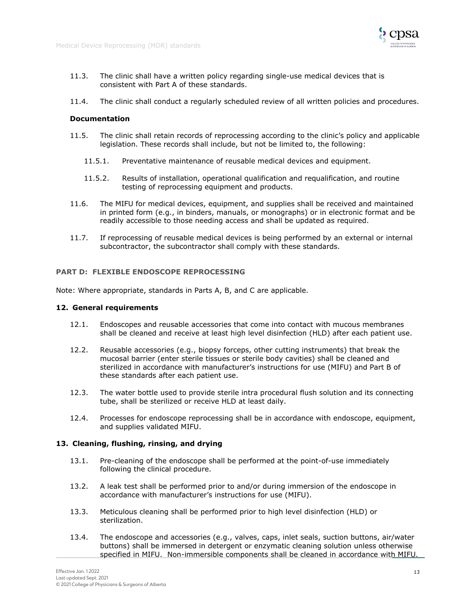![](_page_13_Picture_1.jpeg)

- 11.3. The clinic shall have a written policy regarding single-use medical devices that is consistent with Part A of these standards.
- 11.4. The clinic shall conduct a regularly scheduled review of all written policies and procedures.

## **Documentation**

- 11.5. The clinic shall retain records of reprocessing according to the clinic's policy and applicable legislation. These records shall include, but not be limited to, the following:
	- 11.5.1. Preventative maintenance of reusable medical devices and equipment.
	- 11.5.2. Results of installation, operational qualification and requalification, and routine testing of reprocessing equipment and products.
- 11.6. The MIFU for medical devices, equipment, and supplies shall be received and maintained in printed form (e.g., in binders, manuals, or monographs) or in electronic format and be readily accessible to those needing access and shall be updated as required.
- 11.7. If reprocessing of reusable medical devices is being performed by an external or internal subcontractor, the subcontractor shall comply with these standards.

# <span id="page-13-0"></span>**PART D: FLEXIBLE ENDOSCOPE REPROCESSING**

Note: Where appropriate, standards in Parts A, B, and C are applicable.

#### <span id="page-13-1"></span>**12. General requirements**

- 12.1. Endoscopes and reusable accessories that come into contact with mucous membranes shall be cleaned and receive at least high level disinfection (HLD) after each patient use.
- 12.2. Reusable accessories (e.g., biopsy forceps, other cutting instruments) that break the mucosal barrier (enter sterile tissues or sterile body cavities) shall be cleaned and sterilized in accordance with manufacturer's instructions for use (MIFU) and Part B of these standards after each patient use.
- 12.3. The water bottle used to provide sterile intra procedural flush solution and its connecting tube, shall be sterilized or receive HLD at least daily.
- 12.4. Processes for endoscope reprocessing shall be in accordance with endoscope, equipment, and supplies validated MIFU.

#### <span id="page-13-2"></span>**13. Cleaning, flushing, rinsing, and drying**

- 13.1. Pre-cleaning of the endoscope shall be performed at the point-of-use immediately following the clinical procedure.
- 13.2. A leak test shall be performed prior to and/or during immersion of the endoscope in accordance with manufacturer's instructions for use (MIFU).
- 13.3. Meticulous cleaning shall be performed prior to high level disinfection (HLD) or sterilization.
- 13.4. The endoscope and accessories (e.g., valves, caps, inlet seals, suction buttons, air/water buttons) shall be immersed in detergent or enzymatic cleaning solution unless otherwise specified in MIFU. Non-immersible components shall be cleaned in accordance with MIFU.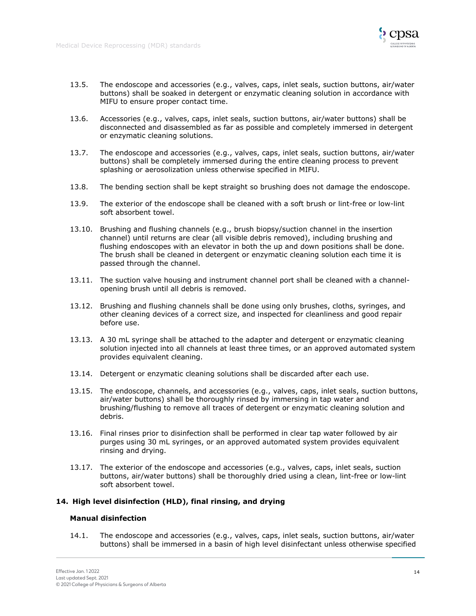![](_page_14_Picture_1.jpeg)

- 13.5. The endoscope and accessories (e.g., valves, caps, inlet seals, suction buttons, air/water buttons) shall be soaked in detergent or enzymatic cleaning solution in accordance with MIFU to ensure proper contact time.
- 13.6. Accessories (e.g., valves, caps, inlet seals, suction buttons, air/water buttons) shall be disconnected and disassembled as far as possible and completely immersed in detergent or enzymatic cleaning solutions.
- 13.7. The endoscope and accessories (e.g., valves, caps, inlet seals, suction buttons, air/water buttons) shall be completely immersed during the entire cleaning process to prevent splashing or aerosolization unless otherwise specified in MIFU.
- 13.8. The bending section shall be kept straight so brushing does not damage the endoscope.
- 13.9. The exterior of the endoscope shall be cleaned with a soft brush or lint-free or low-lint soft absorbent towel.
- 13.10. Brushing and flushing channels (e.g., brush biopsy/suction channel in the insertion channel) until returns are clear (all visible debris removed), including brushing and flushing endoscopes with an elevator in both the up and down positions shall be done. The brush shall be cleaned in detergent or enzymatic cleaning solution each time it is passed through the channel.
- 13.11. The suction valve housing and instrument channel port shall be cleaned with a channelopening brush until all debris is removed.
- 13.12. Brushing and flushing channels shall be done using only brushes, cloths, syringes, and other cleaning devices of a correct size, and inspected for cleanliness and good repair before use.
- 13.13. A 30 mL syringe shall be attached to the adapter and detergent or enzymatic cleaning solution injected into all channels at least three times, or an approved automated system provides equivalent cleaning.
- 13.14. Detergent or enzymatic cleaning solutions shall be discarded after each use.
- 13.15. The endoscope, channels, and accessories (e.g., valves, caps, inlet seals, suction buttons, air/water buttons) shall be thoroughly rinsed by immersing in tap water and brushing/flushing to remove all traces of detergent or enzymatic cleaning solution and debris.
- 13.16. Final rinses prior to disinfection shall be performed in clear tap water followed by air purges using 30 mL syringes, or an approved automated system provides equivalent rinsing and drying.
- 13.17. The exterior of the endoscope and accessories (e.g., valves, caps, inlet seals, suction buttons, air/water buttons) shall be thoroughly dried using a clean, lint-free or low-lint soft absorbent towel.

# <span id="page-14-0"></span>**14. High level disinfection (HLD), final rinsing, and drying**

#### **Manual disinfection**

14.1. The endoscope and accessories (e.g., valves, caps, inlet seals, suction buttons, air/water buttons) shall be immersed in a basin of high level disinfectant unless otherwise specified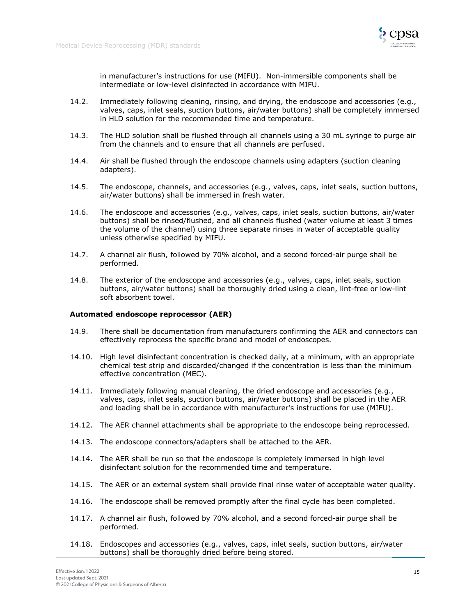![](_page_15_Picture_1.jpeg)

in manufacturer's instructions for use (MIFU). Non-immersible components shall be intermediate or low-level disinfected in accordance with MIFU.

- 14.2. Immediately following cleaning, rinsing, and drying, the endoscope and accessories (e.g., valves, caps, inlet seals, suction buttons, air/water buttons) shall be completely immersed in HLD solution for the recommended time and temperature.
- 14.3. The HLD solution shall be flushed through all channels using a 30 mL syringe to purge air from the channels and to ensure that all channels are perfused.
- 14.4. Air shall be flushed through the endoscope channels using adapters (suction cleaning adapters).
- 14.5. The endoscope, channels, and accessories (e.g., valves, caps, inlet seals, suction buttons, air/water buttons) shall be immersed in fresh water.
- 14.6. The endoscope and accessories (e.g., valves, caps, inlet seals, suction buttons, air/water buttons) shall be rinsed/flushed, and all channels flushed (water volume at least 3 times the volume of the channel) using three separate rinses in water of acceptable quality unless otherwise specified by MIFU.
- 14.7. A channel air flush, followed by 70% alcohol, and a second forced-air purge shall be performed.
- 14.8. The exterior of the endoscope and accessories (e.g., valves, caps, inlet seals, suction buttons, air/water buttons) shall be thoroughly dried using a clean, lint-free or low-lint soft absorbent towel.

#### **Automated endoscope reprocessor (AER)**

- 14.9. There shall be documentation from manufacturers confirming the AER and connectors can effectively reprocess the specific brand and model of endoscopes.
- 14.10. High level disinfectant concentration is checked daily, at a minimum, with an appropriate chemical test strip and discarded/changed if the concentration is less than the minimum effective concentration (MEC).
- 14.11. Immediately following manual cleaning, the dried endoscope and accessories (e.g., valves, caps, inlet seals, suction buttons, air/water buttons) shall be placed in the AER and loading shall be in accordance with manufacturer's instructions for use (MIFU).
- 14.12. The AER channel attachments shall be appropriate to the endoscope being reprocessed.
- 14.13. The endoscope connectors/adapters shall be attached to the AER.
- 14.14. The AER shall be run so that the endoscope is completely immersed in high level disinfectant solution for the recommended time and temperature.
- 14.15. The AER or an external system shall provide final rinse water of acceptable water quality.
- 14.16. The endoscope shall be removed promptly after the final cycle has been completed.
- 14.17. A channel air flush, followed by 70% alcohol, and a second forced-air purge shall be performed.
- 14.18. Endoscopes and accessories (e.g., valves, caps, inlet seals, suction buttons, air/water buttons) shall be thoroughly dried before being stored.